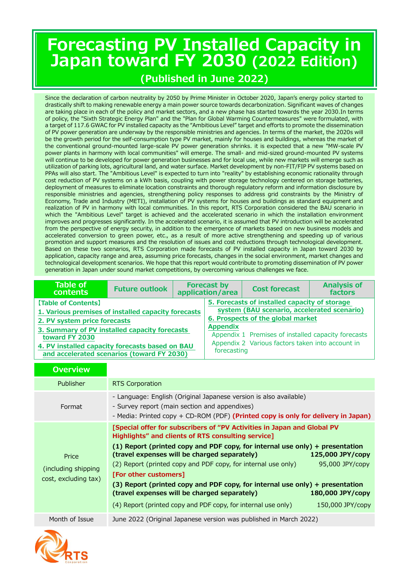# **Forecasting PV Installed Capacity in Japan toward FY 2030 (2022 Edition)**

### **(Published in June 2022)**

Since the declaration of carbon neutrality by 2050 by Prime Minister in October 2020, Japan's energy policy started to drastically shift to making renewable energy a main power source towards decarbonization. Significant waves of changes are taking place in each of the policy and market sectors, and a new phase has started towards the year 2030.In terms of policy, the "Sixth Strategic Energy Plan" and the "Plan for Global Warming Countermeasures" were formulated, with a target of 117.6 GWAC for PV installed capacity as the "Ambitious Level" target and efforts to promote the dissemination of PV power generation are underway by the responsible ministries and agencies. In terms of the market, the 2020s will be the growth period for the self-consumption type PV market, mainly for houses and buildings, whereas the market of the conventional ground-mounted large-scale PV power generation shrinks. it is expected that a new "MW-scale PV power plants in harmony with local communities" will emerge. The small- and mid-sized ground-mounted PV systems will continue to be developed for power generation businesses and for local use, while new markets will emerge such as utilization of parking lots, agricultural land, and water surface. Market development by non-FIT/FIP PV systems based on PPAs will also start. The "Ambitious Level" is expected to turn into "reality" by establishing economic rationality through cost reduction of PV systems on a kWh basis, coupling with power storage technology centered on storage batteries, deployment of measures to eliminate location constraints and thorough regulatory reform and information disclosure by responsible ministries and agencies, strengthening policy responses to address grid constraints by the Ministry of Economy, Trade and Industry (METI), installation of PV systems for houses and buildings as standard equipment and realization of PV in harmony with local communities. In this report, RTS Corporation considered the BAU scenario in which the "Ambitious Level" target is achieved and the accelerated scenario in which the installation environment improves and progresses significantly. In the accelerated scenario, it is assumed that PV introduction will be accelerated from the perspective of energy security, in addition to the emergence of markets based on new business models and accelerated conversion to green power, etc., as a result of more active strengthening and speeding up of various promotion and support measures and the resolution of issues and cost reductions through technological development. Based on these two scenarios, RTS Corporation made forecasts of PV installed capacity in Japan toward 2030 by application, capacity range and area, assuming price forecasts, changes in the social environment, market changes and technological development scenarios. We hope that this report would contribute to promoting dissemination of PV power generation in Japan under sound market competitions, by overcoming various challenges we face.

| Table of<br><b>contents</b>                                                                                                                                                                                                                                                    | <b>Future outlook</b> | <b>Forecast by</b><br>application/area |                                | <b>Cost forecast</b>                                                                                                                                                                                                                         | <b>Analysis of</b><br>factors |
|--------------------------------------------------------------------------------------------------------------------------------------------------------------------------------------------------------------------------------------------------------------------------------|-----------------------|----------------------------------------|--------------------------------|----------------------------------------------------------------------------------------------------------------------------------------------------------------------------------------------------------------------------------------------|-------------------------------|
| [Table of Contents]<br>1. Various premises of installed capacity forecasts<br>2. PV system price forecasts<br>3. Summary of PV installed capacity forecasts<br>toward FY 2030<br>4. PV installed capacity forecasts based on BAU<br>and accelerated scenarios (toward FY 2030) |                       |                                        | <b>Appendix</b><br>forecasting | 5. Forecasts of installed capacity of storage<br>system (BAU scenario, accelerated scenario)<br>6. Prospects of the global market<br>Appendix 1 Premises of installed capacity forecasts<br>Appendix 2 Various factors taken into account in |                               |

| <b>Overview</b>                                      |                                                                                                                                                                                                                                                                                                                                                                                                                                                                                                                                                                                                                                         |  |  |  |  |
|------------------------------------------------------|-----------------------------------------------------------------------------------------------------------------------------------------------------------------------------------------------------------------------------------------------------------------------------------------------------------------------------------------------------------------------------------------------------------------------------------------------------------------------------------------------------------------------------------------------------------------------------------------------------------------------------------------|--|--|--|--|
| Publisher                                            | <b>RTS Corporation</b>                                                                                                                                                                                                                                                                                                                                                                                                                                                                                                                                                                                                                  |  |  |  |  |
| Format                                               | - Language: English (Original Japanese version is also available)<br>- Survey report (main section and appendixes)<br>- Media: Printed copy + CD-ROM (PDF) (Printed copy is only for delivery in Japan)                                                                                                                                                                                                                                                                                                                                                                                                                                 |  |  |  |  |
| Price<br>(including shipping<br>cost, excluding tax) | [Special offer for subscribers of "PV Activities in Japan and Global PV<br>Highlights" and clients of RTS consulting service]<br>(1) Report (printed copy and PDF copy, for internal use only) + presentation<br>(travel expenses will be charged separately)<br>125,000 JPY/copy<br>(2) Report (printed copy and PDF copy, for internal use only)<br>95,000 JPY/copy<br>[For other customers]<br>(3) Report (printed copy and PDF copy, for internal use only) + presentation<br>(travel expenses will be charged separately)<br>180,000 JPY/copy<br>(4) Report (printed copy and PDF copy, for internal use only)<br>150,000 JPY/copy |  |  |  |  |
| Month of Issue                                       | June 2022 (Original Japanese version was published in March 2022)                                                                                                                                                                                                                                                                                                                                                                                                                                                                                                                                                                       |  |  |  |  |